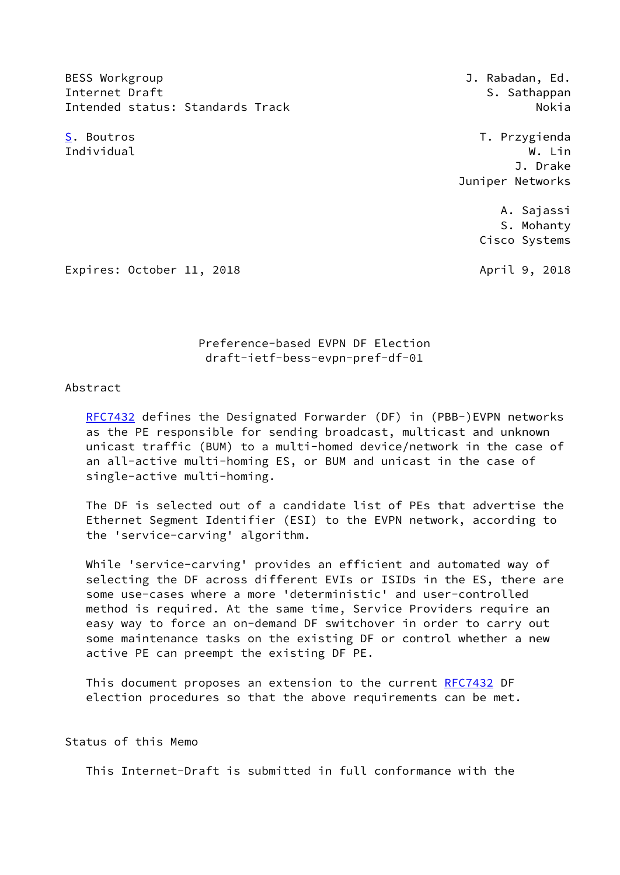BESS Workgroup **BESS Workgroup J. Rabadan, Ed.** Internet Draft States of the S. Sathappan S. Sathappan Intended status: Standards Track Nokia Nokia

<span id="page-0-0"></span>[S](#page-0-0). Boutros T. Przygienda Individual W. Lin J. Drake Juniper Networks

> A. Sajassi S. Mohanty Cisco Systems

Expires: October 11, 2018 **April 9, 2018** 

 Preference-based EVPN DF Election draft-ietf-bess-evpn-pref-df-01

#### Abstract

 [RFC7432](https://datatracker.ietf.org/doc/pdf/rfc7432) defines the Designated Forwarder (DF) in (PBB-)EVPN networks as the PE responsible for sending broadcast, multicast and unknown unicast traffic (BUM) to a multi-homed device/network in the case of an all-active multi-homing ES, or BUM and unicast in the case of single-active multi-homing.

 The DF is selected out of a candidate list of PEs that advertise the Ethernet Segment Identifier (ESI) to the EVPN network, according to the 'service-carving' algorithm.

 While 'service-carving' provides an efficient and automated way of selecting the DF across different EVIs or ISIDs in the ES, there are some use-cases where a more 'deterministic' and user-controlled method is required. At the same time, Service Providers require an easy way to force an on-demand DF switchover in order to carry out some maintenance tasks on the existing DF or control whether a new active PE can preempt the existing DF PE.

 This document proposes an extension to the current [RFC7432](https://datatracker.ietf.org/doc/pdf/rfc7432) DF election procedures so that the above requirements can be met.

## Status of this Memo

This Internet-Draft is submitted in full conformance with the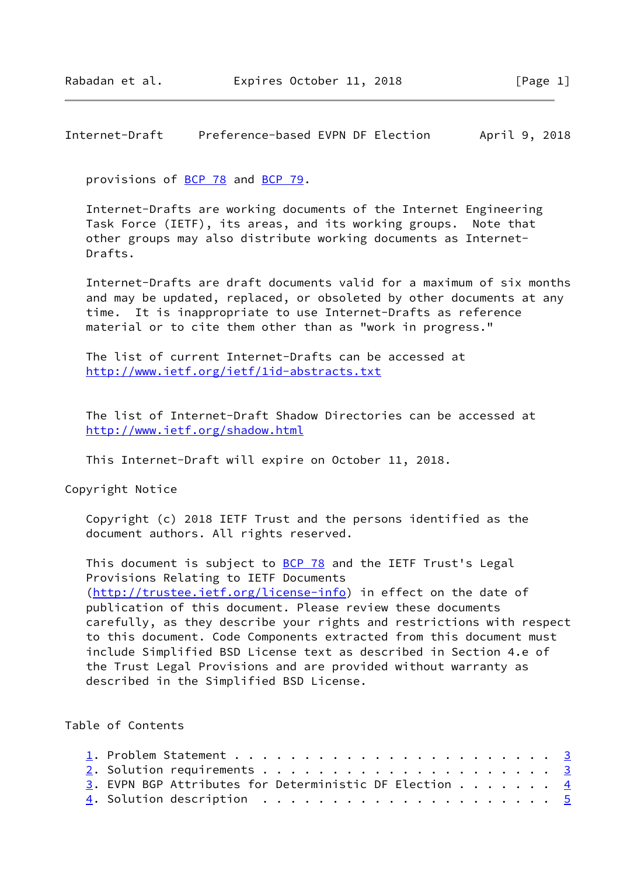Internet-Draft Preference-based EVPN DF Election April 9, 2018

provisions of [BCP 78](https://datatracker.ietf.org/doc/pdf/bcp78) and [BCP 79](https://datatracker.ietf.org/doc/pdf/bcp79).

 Internet-Drafts are working documents of the Internet Engineering Task Force (IETF), its areas, and its working groups. Note that other groups may also distribute working documents as Internet- Drafts.

 Internet-Drafts are draft documents valid for a maximum of six months and may be updated, replaced, or obsoleted by other documents at any time. It is inappropriate to use Internet-Drafts as reference material or to cite them other than as "work in progress."

 The list of current Internet-Drafts can be accessed at <http://www.ietf.org/ietf/1id-abstracts.txt>

 The list of Internet-Draft Shadow Directories can be accessed at <http://www.ietf.org/shadow.html>

This Internet-Draft will expire on October 11, 2018.

Copyright Notice

 Copyright (c) 2018 IETF Trust and the persons identified as the document authors. All rights reserved.

This document is subject to **[BCP 78](https://datatracker.ietf.org/doc/pdf/bcp78)** and the IETF Trust's Legal Provisions Relating to IETF Documents [\(http://trustee.ietf.org/license-info](http://trustee.ietf.org/license-info)) in effect on the date of publication of this document. Please review these documents carefully, as they describe your rights and restrictions with respect to this document. Code Components extracted from this document must include Simplified BSD License text as described in Section 4.e of the Trust Legal Provisions and are provided without warranty as described in the Simplified BSD License.

Table of Contents

| 3. EVPN BGP Attributes for Deterministic DF Election 4                                 |  |
|----------------------------------------------------------------------------------------|--|
| 4. Solution description $\ldots \ldots \ldots \ldots \ldots \ldots \ldots \frac{5}{2}$ |  |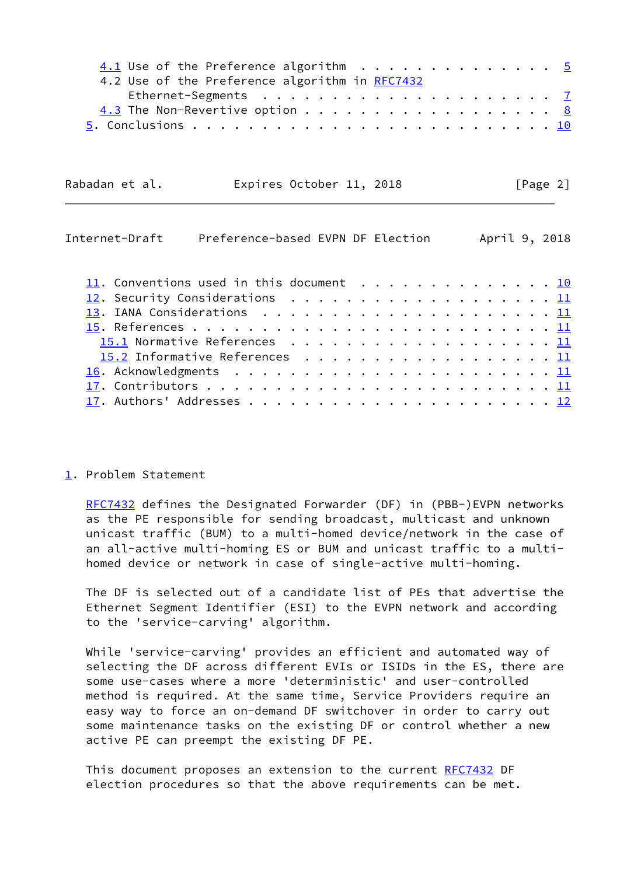<span id="page-2-1"></span>

| $4.1$ Use of the Preference algorithm 5<br>4.2 Use of the Preference algorithm in RFC7432 |  |  |  |  |  |               |  |
|-------------------------------------------------------------------------------------------|--|--|--|--|--|---------------|--|
|                                                                                           |  |  |  |  |  |               |  |
|                                                                                           |  |  |  |  |  |               |  |
|                                                                                           |  |  |  |  |  |               |  |
| Rabadan et al.<br>Expires October 11, 2018                                                |  |  |  |  |  | [Page 2]      |  |
| Preference-based EVPN DF Election<br>Internet-Draft                                       |  |  |  |  |  | April 9, 2018 |  |
| $\frac{11}{11}$ . Conventions used in this document 10                                    |  |  |  |  |  |               |  |
|                                                                                           |  |  |  |  |  |               |  |
|                                                                                           |  |  |  |  |  |               |  |
|                                                                                           |  |  |  |  |  |               |  |
| 15.1 Normative References 11                                                              |  |  |  |  |  |               |  |
| $15.2$ Informative References 11                                                          |  |  |  |  |  |               |  |
|                                                                                           |  |  |  |  |  |               |  |
|                                                                                           |  |  |  |  |  |               |  |
|                                                                                           |  |  |  |  |  |               |  |

<span id="page-2-0"></span>[1](#page-2-0). Problem Statement

 [RFC7432](https://datatracker.ietf.org/doc/pdf/rfc7432) defines the Designated Forwarder (DF) in (PBB-)EVPN networks as the PE responsible for sending broadcast, multicast and unknown unicast traffic (BUM) to a multi-homed device/network in the case of an all-active multi-homing ES or BUM and unicast traffic to a multi homed device or network in case of single-active multi-homing.

 The DF is selected out of a candidate list of PEs that advertise the Ethernet Segment Identifier (ESI) to the EVPN network and according to the 'service-carving' algorithm.

 While 'service-carving' provides an efficient and automated way of selecting the DF across different EVIs or ISIDs in the ES, there are some use-cases where a more 'deterministic' and user-controlled method is required. At the same time, Service Providers require an easy way to force an on-demand DF switchover in order to carry out some maintenance tasks on the existing DF or control whether a new active PE can preempt the existing DF PE.

This document proposes an extension to the current [RFC7432](https://datatracker.ietf.org/doc/pdf/rfc7432) DF election procedures so that the above requirements can be met.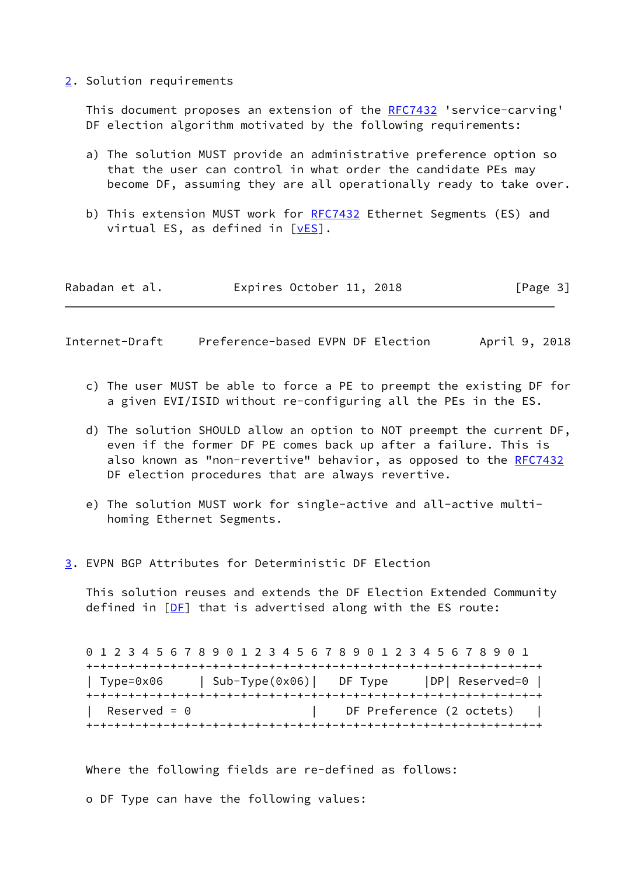<span id="page-3-0"></span>[2](#page-3-0). Solution requirements

This document proposes an extension of the [RFC7432](https://datatracker.ietf.org/doc/pdf/rfc7432) 'service-carving' DF election algorithm motivated by the following requirements:

- a) The solution MUST provide an administrative preference option so that the user can control in what order the candidate PEs may become DF, assuming they are all operationally ready to take over.
- b) This extension MUST work for [RFC7432](https://datatracker.ietf.org/doc/pdf/rfc7432) Ethernet Segments (ES) and virtual ES, as defined in  $[\underline{vES}]$ .

| Rabadan et al. | Expires October 11, 2018 |  | [Page 3] |
|----------------|--------------------------|--|----------|
|----------------|--------------------------|--|----------|

<span id="page-3-2"></span>Internet-Draft Preference-based EVPN DF Election April 9, 2018

- c) The user MUST be able to force a PE to preempt the existing DF for a given EVI/ISID without re-configuring all the PEs in the ES.
- d) The solution SHOULD allow an option to NOT preempt the current DF, even if the former DF PE comes back up after a failure. This is also known as "non-revertive" behavior, as opposed to the [RFC7432](https://datatracker.ietf.org/doc/pdf/rfc7432) DF election procedures that are always revertive.
- e) The solution MUST work for single-active and all-active multi homing Ethernet Segments.
- <span id="page-3-1"></span>[3](#page-3-1). EVPN BGP Attributes for Deterministic DF Election

 This solution reuses and extends the DF Election Extended Community defined in  $[DF]$  $[DF]$  that is advertised along with the ES route:

|                     |                | 0 1 2 3 4 5 6 7 8 9 0 1 2 3 4 5 6 7 8 9 0 1 2 3 4 5 6 7 8 9 0 1 |  |
|---------------------|----------------|-----------------------------------------------------------------|--|
|                     |                |                                                                 |  |
| Type=0x06           | Sub-Type(0x06) | DP  Reserved=0  <br>DF Type                                     |  |
| Reserved = $\theta$ |                | DF Preference (2 octets)                                        |  |

Where the following fields are re-defined as follows:

o DF Type can have the following values: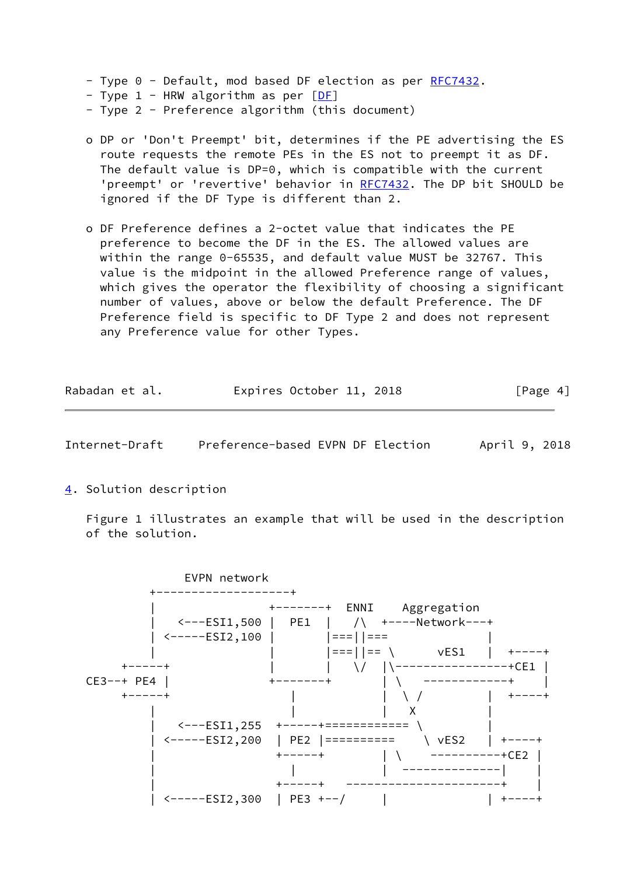- Type 0 Default, mod based DF election as per [RFC7432](https://datatracker.ietf.org/doc/pdf/rfc7432).
- Type  $1$  HRW algorithm as per  $[DF]$
- Type 2 Preference algorithm (this document)
- o DP or 'Don't Preempt' bit, determines if the PE advertising the ES route requests the remote PEs in the ES not to preempt it as DF. The default value is DP=0, which is compatible with the current 'preempt' or 'revertive' behavior in [RFC7432](https://datatracker.ietf.org/doc/pdf/rfc7432). The DP bit SHOULD be ignored if the DF Type is different than 2.
- o DF Preference defines a 2-octet value that indicates the PE preference to become the DF in the ES. The allowed values are within the range 0-65535, and default value MUST be 32767. This value is the midpoint in the allowed Preference range of values, which gives the operator the flexibility of choosing a significant number of values, above or below the default Preference. The DF Preference field is specific to DF Type 2 and does not represent any Preference value for other Types.

| Rabadan et al. |  | Expires October 11, 2018 |  | [Page 4] |  |
|----------------|--|--------------------------|--|----------|--|
|                |  |                          |  |          |  |

<span id="page-4-1"></span>Internet-Draft Preference-based EVPN DF Election April 9, 2018

<span id="page-4-0"></span>[4](#page-4-0). Solution description

 Figure 1 illustrates an example that will be used in the description of the solution.

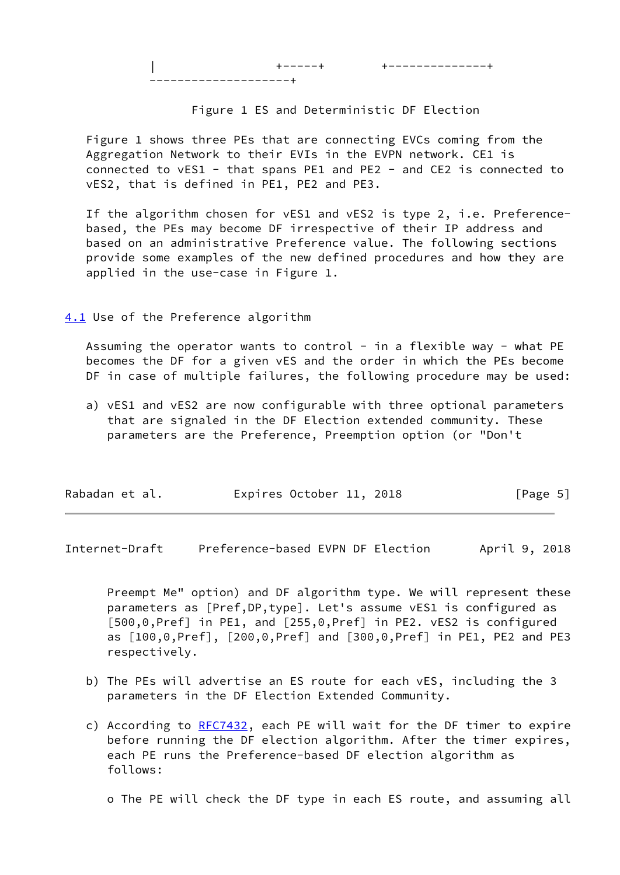| +-----+ +--------------+

--------------------+

## Figure 1 ES and Deterministic DF Election

 Figure 1 shows three PEs that are connecting EVCs coming from the Aggregation Network to their EVIs in the EVPN network. CE1 is connected to vES1 - that spans PE1 and PE2 - and CE2 is connected to vES2, that is defined in PE1, PE2 and PE3.

 If the algorithm chosen for vES1 and vES2 is type 2, i.e. Preference based, the PEs may become DF irrespective of their IP address and based on an administrative Preference value. The following sections provide some examples of the new defined procedures and how they are applied in the use-case in Figure 1.

<span id="page-5-0"></span>[4.1](#page-5-0) Use of the Preference algorithm

Assuming the operator wants to control - in a flexible way - what PE becomes the DF for a given vES and the order in which the PEs become DF in case of multiple failures, the following procedure may be used:

 a) vES1 and vES2 are now configurable with three optional parameters that are signaled in the DF Election extended community. These parameters are the Preference, Preemption option (or "Don't

| Rabadan et al. | Expires October 11, 2018 | [Page 5] |
|----------------|--------------------------|----------|
|                |                          |          |

Internet-Draft Preference-based EVPN DF Election April 9, 2018

 Preempt Me" option) and DF algorithm type. We will represent these parameters as [Pref,DP,type]. Let's assume vES1 is configured as [500,0,Pref] in PE1, and [255,0,Pref] in PE2. vES2 is configured as [100,0,Pref], [200,0,Pref] and [300,0,Pref] in PE1, PE2 and PE3 respectively.

- b) The PEs will advertise an ES route for each vES, including the 3 parameters in the DF Election Extended Community.
- c) According to [RFC7432](https://datatracker.ietf.org/doc/pdf/rfc7432), each PE will wait for the DF timer to expire before running the DF election algorithm. After the timer expires, each PE runs the Preference-based DF election algorithm as follows:

o The PE will check the DF type in each ES route, and assuming all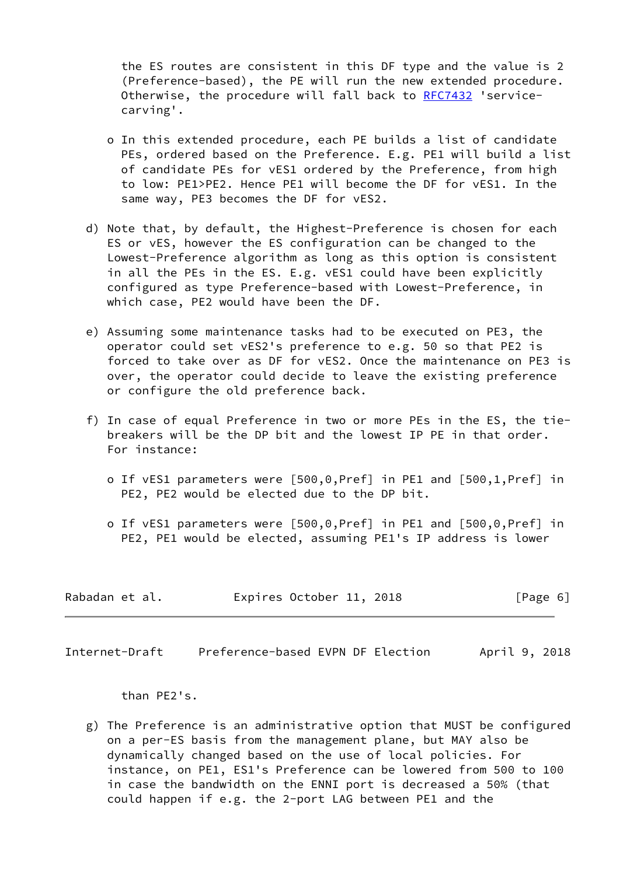the ES routes are consistent in this DF type and the value is 2 (Preference-based), the PE will run the new extended procedure. Otherwise, the procedure will fall back to [RFC7432](https://datatracker.ietf.org/doc/pdf/rfc7432) 'service carving'.

- o In this extended procedure, each PE builds a list of candidate PEs, ordered based on the Preference. E.g. PE1 will build a list of candidate PEs for vES1 ordered by the Preference, from high to low: PE1>PE2. Hence PE1 will become the DF for vES1. In the same way, PE3 becomes the DF for vES2.
- d) Note that, by default, the Highest-Preference is chosen for each ES or vES, however the ES configuration can be changed to the Lowest-Preference algorithm as long as this option is consistent in all the PEs in the ES. E.g. vES1 could have been explicitly configured as type Preference-based with Lowest-Preference, in which case, PE2 would have been the DF.
- e) Assuming some maintenance tasks had to be executed on PE3, the operator could set vES2's preference to e.g. 50 so that PE2 is forced to take over as DF for vES2. Once the maintenance on PE3 is over, the operator could decide to leave the existing preference or configure the old preference back.
- f) In case of equal Preference in two or more PEs in the ES, the tie breakers will be the DP bit and the lowest IP PE in that order. For instance:
	- o If vES1 parameters were [500,0,Pref] in PE1 and [500,1,Pref] in PE2, PE2 would be elected due to the DP bit.
	- o If vES1 parameters were [500,0,Pref] in PE1 and [500,0,Pref] in PE2, PE1 would be elected, assuming PE1's IP address is lower

| Rabadan et al. | Expires October 11, 2018 |  | [Page 6] |  |
|----------------|--------------------------|--|----------|--|
|                |                          |  |          |  |

<span id="page-6-0"></span>Internet-Draft Preference-based EVPN DF Election April 9, 2018

than PE2's.

 g) The Preference is an administrative option that MUST be configured on a per-ES basis from the management plane, but MAY also be dynamically changed based on the use of local policies. For instance, on PE1, ES1's Preference can be lowered from 500 to 100 in case the bandwidth on the ENNI port is decreased a 50% (that could happen if e.g. the 2-port LAG between PE1 and the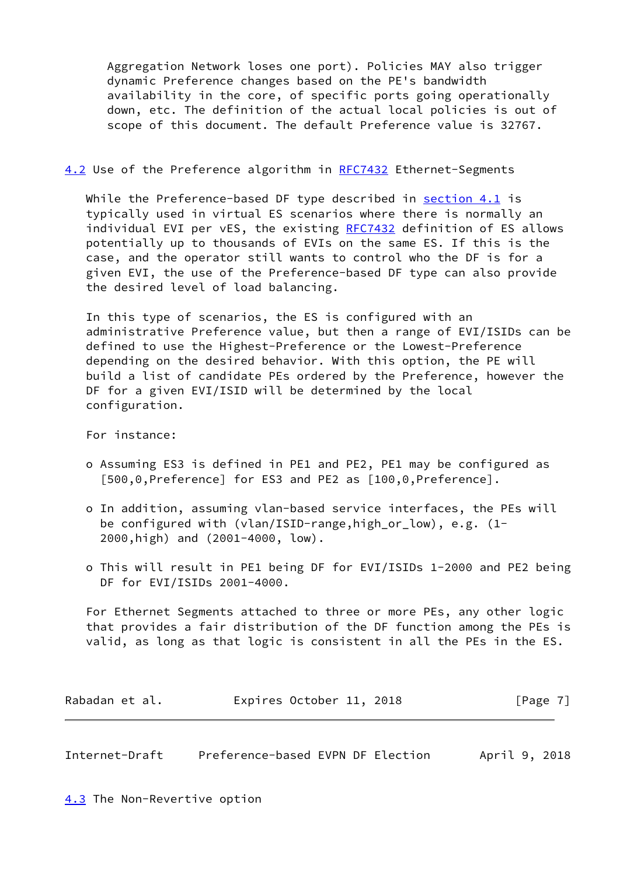Aggregation Network loses one port). Policies MAY also trigger dynamic Preference changes based on the PE's bandwidth availability in the core, of specific ports going operationally down, etc. The definition of the actual local policies is out of scope of this document. The default Preference value is 32767.

#### <span id="page-7-2"></span>[4.2](#page-7-2) Use of the Preference algorithm in [RFC7432](https://datatracker.ietf.org/doc/pdf/rfc7432) Ethernet-Segments

While the Preference-based DF type described in section  $4.1$  is typically used in virtual ES scenarios where there is normally an individual EVI per vES, the existing [RFC7432](https://datatracker.ietf.org/doc/pdf/rfc7432) definition of ES allows potentially up to thousands of EVIs on the same ES. If this is the case, and the operator still wants to control who the DF is for a given EVI, the use of the Preference-based DF type can also provide the desired level of load balancing.

 In this type of scenarios, the ES is configured with an administrative Preference value, but then a range of EVI/ISIDs can be defined to use the Highest-Preference or the Lowest-Preference depending on the desired behavior. With this option, the PE will build a list of candidate PEs ordered by the Preference, however the DF for a given EVI/ISID will be determined by the local configuration.

For instance:

- o Assuming ES3 is defined in PE1 and PE2, PE1 may be configured as [500,0,Preference] for ES3 and PE2 as [100,0,Preference].
- o In addition, assuming vlan-based service interfaces, the PEs will be configured with (vlan/ISID-range,high\_or\_low), e.g. (1- 2000,high) and (2001-4000, low).
- o This will result in PE1 being DF for EVI/ISIDs 1-2000 and PE2 being DF for EVI/ISIDs 2001-4000.

 For Ethernet Segments attached to three or more PEs, any other logic that provides a fair distribution of the DF function among the PEs is valid, as long as that logic is consistent in all the PEs in the ES.

| Rabadan et al. | Expires October 11, 2018 |  | [Page 7] |
|----------------|--------------------------|--|----------|
|----------------|--------------------------|--|----------|

<span id="page-7-1"></span>Internet-Draft Preference-based EVPN DF Election April 9, 2018

<span id="page-7-0"></span>[4.3](#page-7-0) The Non-Revertive option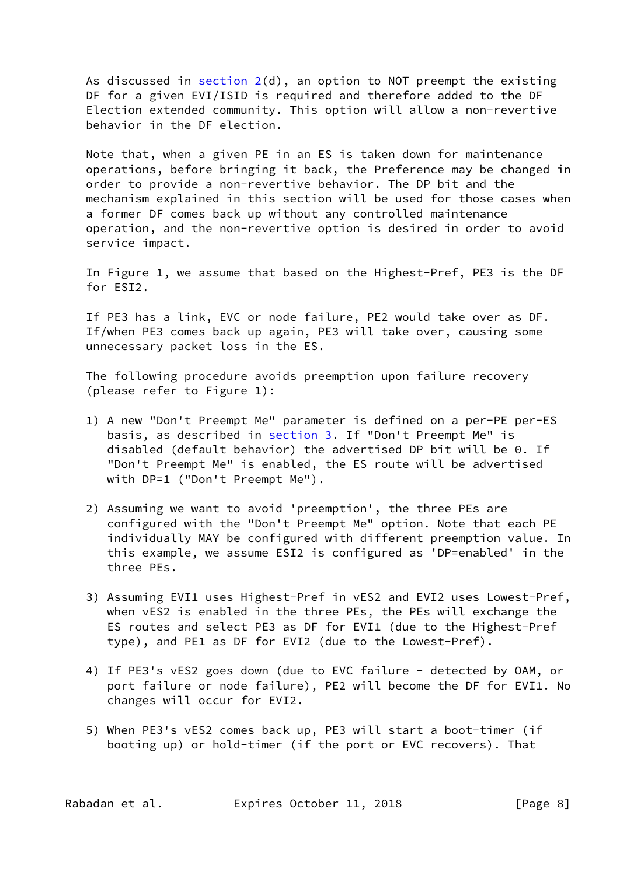As discussed in  $section 2(d)$ , an option to NOT preempt the existing DF for a given EVI/ISID is required and therefore added to the DF Election extended community. This option will allow a non-revertive behavior in the DF election.

 Note that, when a given PE in an ES is taken down for maintenance operations, before bringing it back, the Preference may be changed in order to provide a non-revertive behavior. The DP bit and the mechanism explained in this section will be used for those cases when a former DF comes back up without any controlled maintenance operation, and the non-revertive option is desired in order to avoid service impact.

 In Figure 1, we assume that based on the Highest-Pref, PE3 is the DF for ESI2.

 If PE3 has a link, EVC or node failure, PE2 would take over as DF. If/when PE3 comes back up again, PE3 will take over, causing some unnecessary packet loss in the ES.

 The following procedure avoids preemption upon failure recovery (please refer to Figure 1):

- 1) A new "Don't Preempt Me" parameter is defined on a per-PE per-ES basis, as described in [section 3.](#page-3-1) If "Don't Preempt Me" is disabled (default behavior) the advertised DP bit will be 0. If "Don't Preempt Me" is enabled, the ES route will be advertised with DP=1 ("Don't Preempt Me").
- 2) Assuming we want to avoid 'preemption', the three PEs are configured with the "Don't Preempt Me" option. Note that each PE individually MAY be configured with different preemption value. In this example, we assume ESI2 is configured as 'DP=enabled' in the three PEs.
- 3) Assuming EVI1 uses Highest-Pref in vES2 and EVI2 uses Lowest-Pref, when vES2 is enabled in the three PEs, the PEs will exchange the ES routes and select PE3 as DF for EVI1 (due to the Highest-Pref type), and PE1 as DF for EVI2 (due to the Lowest-Pref).
- 4) If PE3's vES2 goes down (due to EVC failure detected by OAM, or port failure or node failure), PE2 will become the DF for EVI1. No changes will occur for EVI2.
- 5) When PE3's vES2 comes back up, PE3 will start a boot-timer (if booting up) or hold-timer (if the port or EVC recovers). That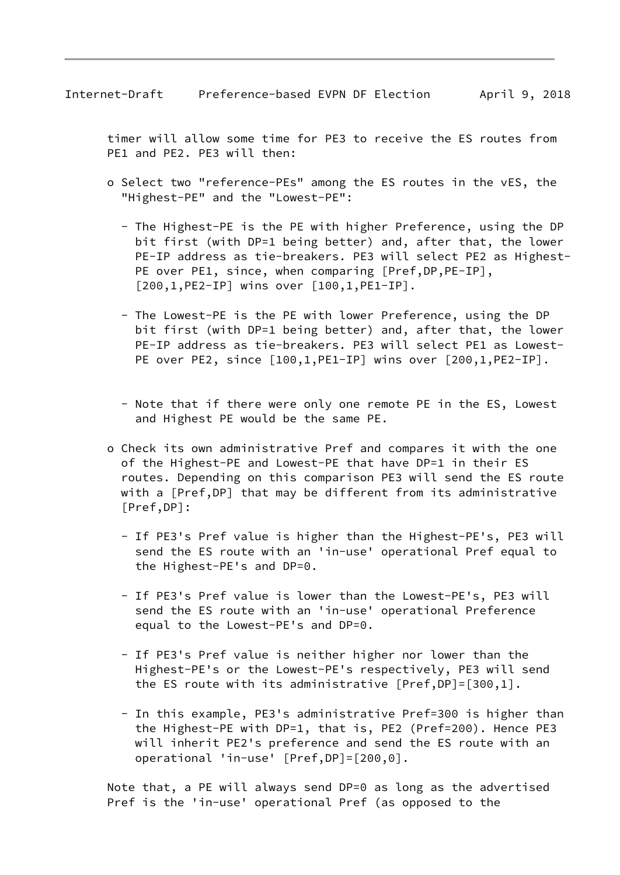timer will allow some time for PE3 to receive the ES routes from PE1 and PE2. PE3 will then:

- o Select two "reference-PEs" among the ES routes in the vES, the "Highest-PE" and the "Lowest-PE":
	- The Highest-PE is the PE with higher Preference, using the DP bit first (with DP=1 being better) and, after that, the lower PE-IP address as tie-breakers. PE3 will select PE2 as Highest- PE over PE1, since, when comparing [Pref,DP,PE-IP], [200,1,PE2-IP] wins over [100,1,PE1-IP].
	- The Lowest-PE is the PE with lower Preference, using the DP bit first (with DP=1 being better) and, after that, the lower PE-IP address as tie-breakers. PE3 will select PE1 as Lowest- PE over PE2, since [100,1, PE1-IP] wins over [200,1, PE2-IP].
	- Note that if there were only one remote PE in the ES, Lowest and Highest PE would be the same PE.
- o Check its own administrative Pref and compares it with the one of the Highest-PE and Lowest-PE that have DP=1 in their ES routes. Depending on this comparison PE3 will send the ES route with a [Pref,DP] that may be different from its administrative [Pref,DP]:
	- If PE3's Pref value is higher than the Highest-PE's, PE3 will send the ES route with an 'in-use' operational Pref equal to the Highest-PE's and DP=0.
	- If PE3's Pref value is lower than the Lowest-PE's, PE3 will send the ES route with an 'in-use' operational Preference equal to the Lowest-PE's and DP=0.
	- If PE3's Pref value is neither higher nor lower than the Highest-PE's or the Lowest-PE's respectively, PE3 will send the ES route with its administrative [Pref,DP]=[300,1].
	- In this example, PE3's administrative Pref=300 is higher than the Highest-PE with DP=1, that is, PE2 (Pref=200). Hence PE3 will inherit PE2's preference and send the ES route with an operational 'in-use' [Pref,DP]=[200,0].

 Note that, a PE will always send DP=0 as long as the advertised Pref is the 'in-use' operational Pref (as opposed to the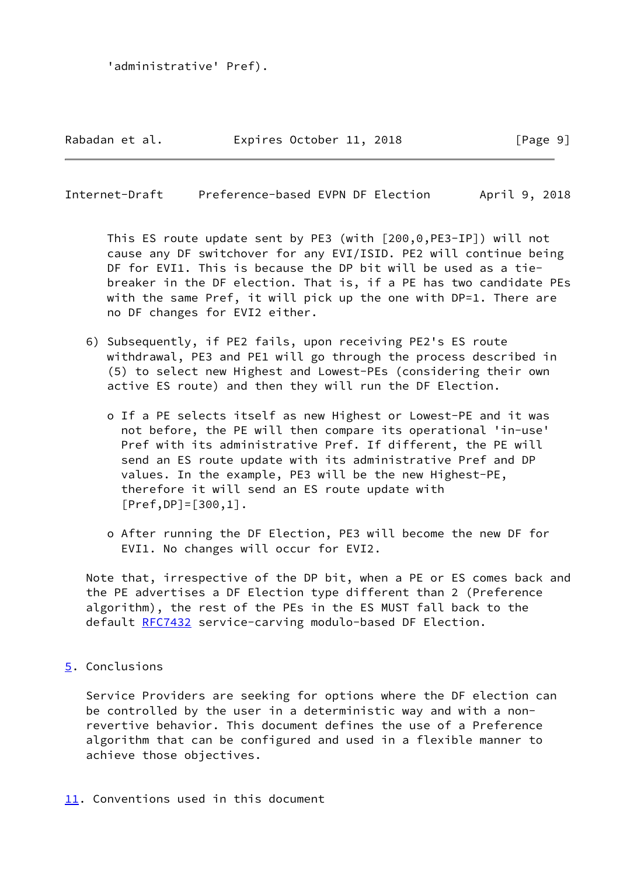#### Rabadan et al. 
Expires October 11, 2018

Fage 9]

<span id="page-10-1"></span>Internet-Draft Preference-based EVPN DF Election April 9, 2018

 This ES route update sent by PE3 (with [200,0,PE3-IP]) will not cause any DF switchover for any EVI/ISID. PE2 will continue being DF for EVI1. This is because the DP bit will be used as a tie breaker in the DF election. That is, if a PE has two candidate PEs with the same Pref, it will pick up the one with DP=1. There are no DF changes for EVI2 either.

- 6) Subsequently, if PE2 fails, upon receiving PE2's ES route withdrawal, PE3 and PE1 will go through the process described in (5) to select new Highest and Lowest-PEs (considering their own active ES route) and then they will run the DF Election.
	- o If a PE selects itself as new Highest or Lowest-PE and it was not before, the PE will then compare its operational 'in-use' Pref with its administrative Pref. If different, the PE will send an ES route update with its administrative Pref and DP values. In the example, PE3 will be the new Highest-PE, therefore it will send an ES route update with [Pref,DP]=[300,1].
	- o After running the DF Election, PE3 will become the new DF for EVI1. No changes will occur for EVI2.

 Note that, irrespective of the DP bit, when a PE or ES comes back and the PE advertises a DF Election type different than 2 (Preference algorithm), the rest of the PEs in the ES MUST fall back to the default [RFC7432](https://datatracker.ietf.org/doc/pdf/rfc7432) service-carving modulo-based DF Election.

<span id="page-10-0"></span>[5](#page-10-0). Conclusions

 Service Providers are seeking for options where the DF election can be controlled by the user in a deterministic way and with a non revertive behavior. This document defines the use of a Preference algorithm that can be configured and used in a flexible manner to achieve those objectives.

# <span id="page-10-2"></span>[11.](#page-10-2) Conventions used in this document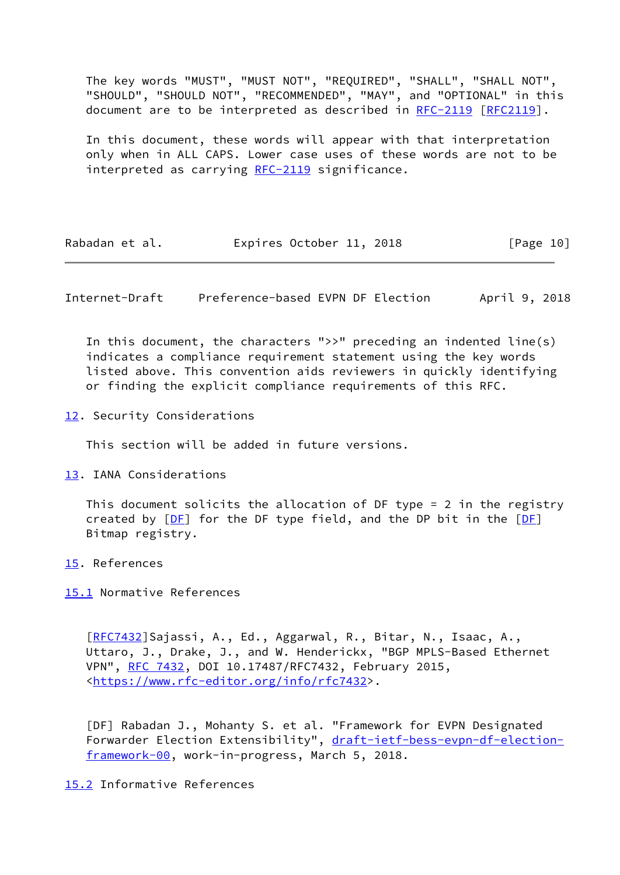The key words "MUST", "MUST NOT", "REQUIRED", "SHALL", "SHALL NOT", "SHOULD", "SHOULD NOT", "RECOMMENDED", "MAY", and "OPTIONAL" in this document are to be interpreted as described in [RFC-2119 \[RFC2119](https://datatracker.ietf.org/doc/pdf/rfc2119)].

 In this document, these words will appear with that interpretation only when in ALL CAPS. Lower case uses of these words are not to be interpreted as carrying [RFC-2119](https://datatracker.ietf.org/doc/pdf/rfc2119) significance.

| Rabadan et al. |  | Expires October 11, 2018 |  |  | [Page 10] |
|----------------|--|--------------------------|--|--|-----------|
|----------------|--|--------------------------|--|--|-----------|

<span id="page-11-1"></span>Internet-Draft Preference-based EVPN DF Election April 9, 2018

 In this document, the characters ">>" preceding an indented line(s) indicates a compliance requirement statement using the key words listed above. This convention aids reviewers in quickly identifying or finding the explicit compliance requirements of this RFC.

<span id="page-11-0"></span>[12.](#page-11-0) Security Considerations

This section will be added in future versions.

<span id="page-11-2"></span>[13.](#page-11-2) IANA Considerations

 This document solicits the allocation of DF type = 2 in the registry created by  $[DF]$  $[DF]$  for the DF type field, and the DP bit in the  $[DF]$ Bitmap registry.

- <span id="page-11-3"></span>[15.](#page-11-3) References
- <span id="page-11-4"></span>[15.1](#page-11-4) Normative References

 [\[RFC7432](https://datatracker.ietf.org/doc/pdf/rfc7432)]Sajassi, A., Ed., Aggarwal, R., Bitar, N., Isaac, A., Uttaro, J., Drake, J., and W. Henderickx, "BGP MPLS-Based Ethernet VPN", [RFC 7432](https://datatracker.ietf.org/doc/pdf/rfc7432), DOI 10.17487/RFC7432, February 2015, [<https://www.rfc-editor.org/info/rfc7432](https://www.rfc-editor.org/info/rfc7432)>.

<span id="page-11-6"></span> [DF] Rabadan J., Mohanty S. et al. "Framework for EVPN Designated Forwarder Election Extensibility", [draft-ietf-bess-evpn-df-election](https://datatracker.ietf.org/doc/pdf/draft-ietf-bess-evpn-df-election-framework-00) [framework-00](https://datatracker.ietf.org/doc/pdf/draft-ietf-bess-evpn-df-election-framework-00), work-in-progress, March 5, 2018.

### <span id="page-11-5"></span>[15.2](#page-11-5) Informative References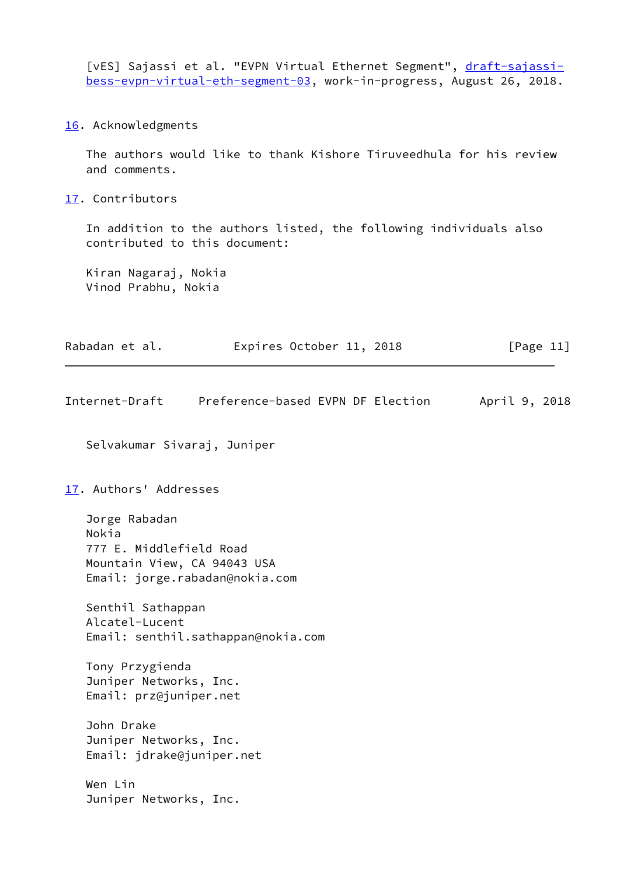<span id="page-12-3"></span>[vES] Sajassi et al. "EVPN Virtual Ethernet Segment", [draft-sajassi](https://datatracker.ietf.org/doc/pdf/draft-sajassi-bess-evpn-virtual-eth-segment-03) [bess-evpn-virtual-eth-segment-03](https://datatracker.ietf.org/doc/pdf/draft-sajassi-bess-evpn-virtual-eth-segment-03), work-in-progress, August 26, 2018.

<span id="page-12-0"></span>[16.](#page-12-0) Acknowledgments

 The authors would like to thank Kishore Tiruveedhula for his review and comments.

<span id="page-12-1"></span>[17.](#page-12-1) Contributors

 In addition to the authors listed, the following individuals also contributed to this document:

 Kiran Nagaraj, Nokia Vinod Prabhu, Nokia

| Rabadan et al. |  | Expires October 11, 2018 | [Page 11] |
|----------------|--|--------------------------|-----------|
|----------------|--|--------------------------|-----------|

<span id="page-12-2"></span>Internet-Draft Preference-based EVPN DF Election April 9, 2018

Selvakumar Sivaraj, Juniper

[17.](#page-12-1) Authors' Addresses

 Jorge Rabadan Nokia 777 E. Middlefield Road Mountain View, CA 94043 USA Email: jorge.rabadan@nokia.com

 Senthil Sathappan Alcatel-Lucent Email: senthil.sathappan@nokia.com

 Tony Przygienda Juniper Networks, Inc. Email: prz@juniper.net

 John Drake Juniper Networks, Inc. Email: jdrake@juniper.net

 Wen Lin Juniper Networks, Inc.